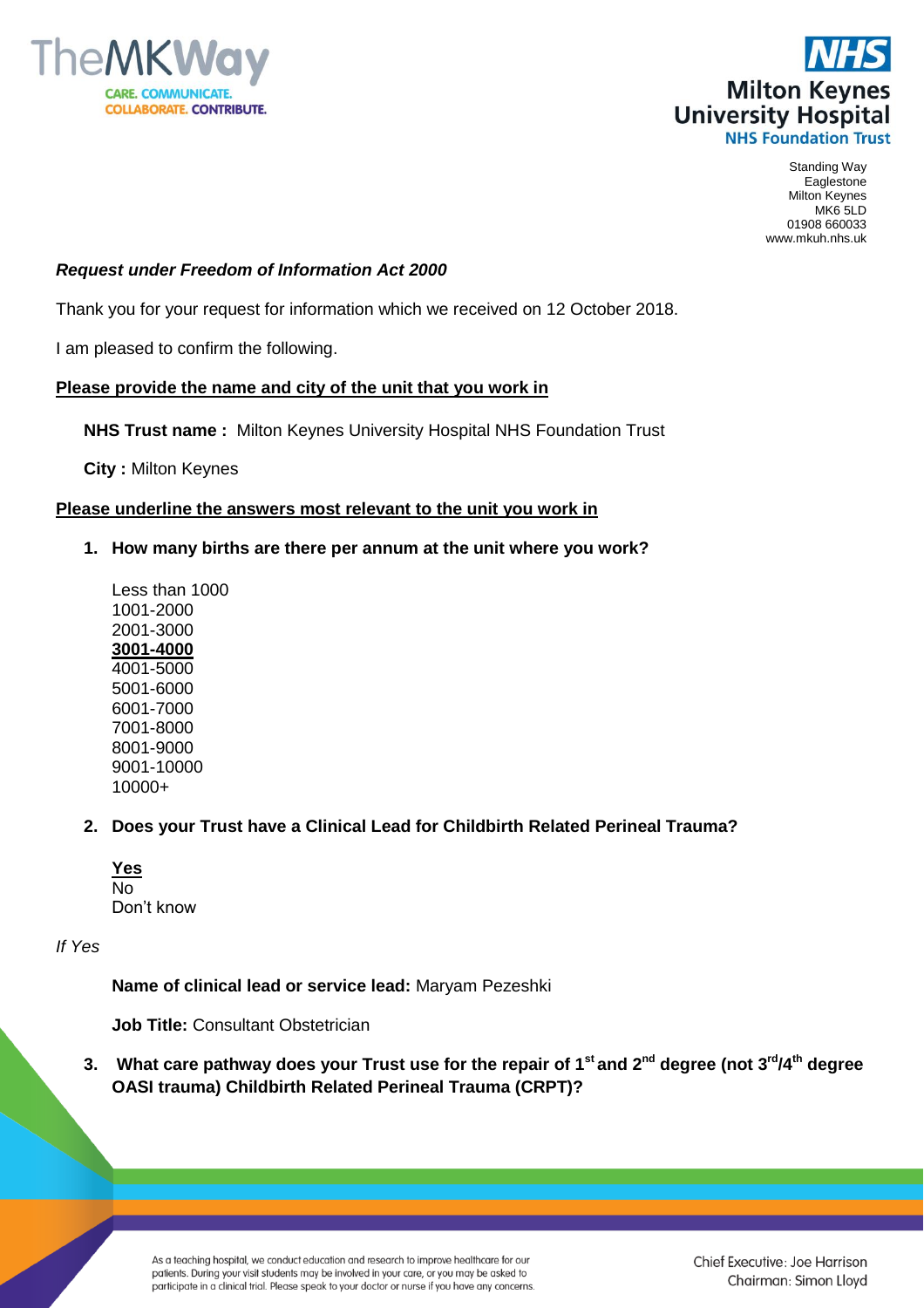



Standing Way Eaglestone Milton Keynes MK6 5LD 01908 660033 www.mkuh.nhs.uk

## *Request under Freedom of Information Act 2000*

Thank you for your request for information which we received on 12 October 2018.

I am pleased to confirm the following.

### **Please provide the name and city of the unit that you work in**

**NHS Trust name :** Milton Keynes University Hospital NHS Foundation Trust

**City :** Milton Keynes

### **Please underline the answers most relevant to the unit you work in**

**1. How many births are there per annum at the unit where you work?** 

Less than 1000 1001-2000 2001-3000 **3001-4000** 4001-5000 5001-6000 6001-7000 7001-8000 8001-9000 9001-10000 10000+

### **2. Does your Trust have a Clinical Lead for Childbirth Related Perineal Trauma?**

| <b>Yes</b> |            |
|------------|------------|
| N٥         |            |
|            | Don't know |

*If Yes* 

**Name of clinical lead or service lead:** Maryam Pezeshki

**Job Title:** Consultant Obstetrician

**3. What care pathway does your Trust use for the repair of 1st and 2nd degree (not 3rd/4th degree OASI trauma) Childbirth Related Perineal Trauma (CRPT)?** 

As a teaching hospital, we conduct education and research to improve healthcare for our patients. During your visit students may be involved in your care, or you may be asked to participate in a clinical trial. Please speak to your doctor or nurse if you have any concerns. Chief Executive: Joe Harrison Chairman: Simon Lloyd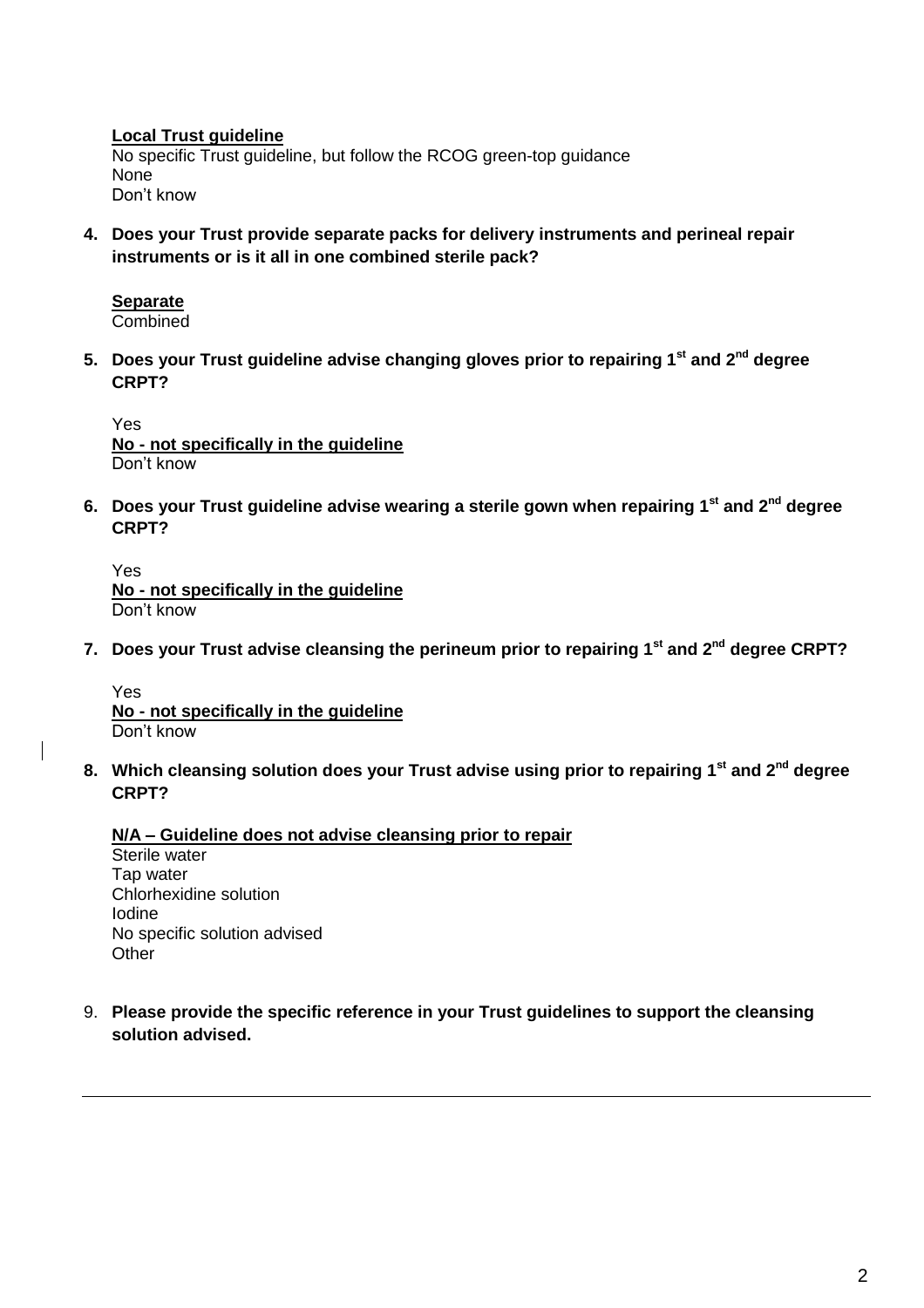**Local Trust guideline** No specific Trust guideline, but follow the RCOG green-top guidance None Don't know

**4. Does your Trust provide separate packs for delivery instruments and perineal repair instruments or is it all in one combined sterile pack?**

# **Separate**

**Combined** 

**5. Does your Trust guideline advise changing gloves prior to repairing 1st and 2nd degree CRPT?**

Yes **No - not specifically in the guideline**  Don't know

**6. Does your Trust guideline advise wearing a sterile gown when repairing 1st and 2nd degree CRPT?**

Yes **No - not specifically in the guideline** Don't know

**7. Does your Trust advise cleansing the perineum prior to repairing 1st and 2nd degree CRPT?**

Yes **No - not specifically in the guideline** Don't know

**8. Which cleansing solution does your Trust advise using prior to repairing 1st and 2nd degree CRPT?**

### **N/A – Guideline does not advise cleansing prior to repair**

Sterile water Tap water Chlorhexidine solution Iodine No specific solution advised **Other** 

9. **Please provide the specific reference in your Trust guidelines to support the cleansing solution advised.**